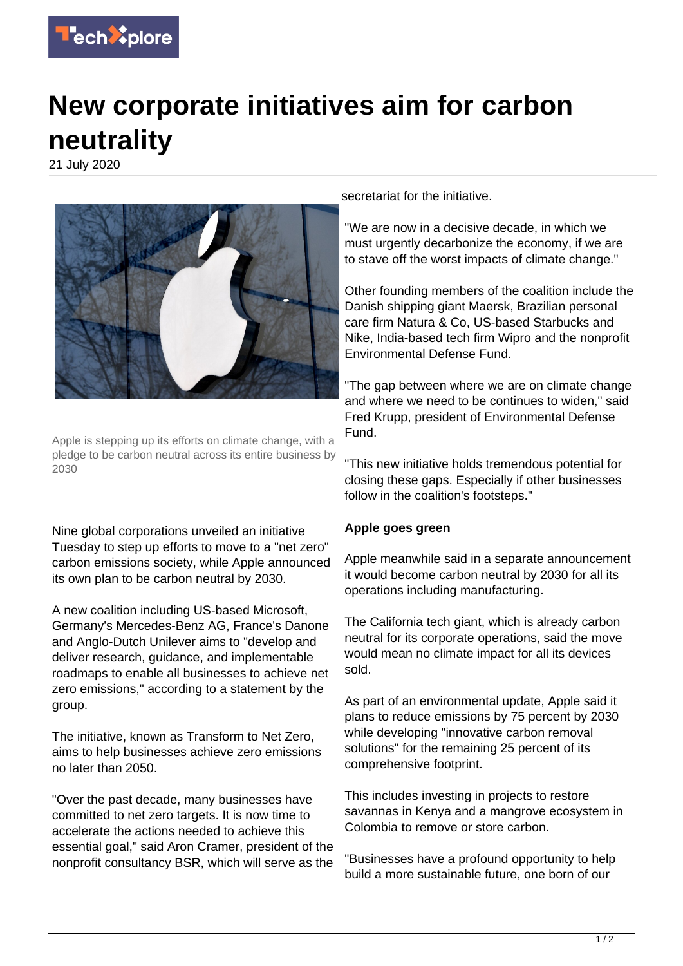

## **New corporate initiatives aim for carbon neutrality**

21 July 2020



Apple is stepping up its efforts on climate change, with a pledge to be carbon neutral across its entire business by 2030

Nine global corporations unveiled an initiative Tuesday to step up efforts to move to a "net zero" carbon emissions society, while Apple announced its own plan to be carbon neutral by 2030.

A new coalition including US-based Microsoft, Germany's Mercedes-Benz AG, France's Danone and Anglo-Dutch Unilever aims to "develop and deliver research, guidance, and implementable roadmaps to enable all businesses to achieve net zero emissions," according to a statement by the group.

The initiative, known as Transform to Net Zero, aims to help businesses achieve zero emissions no later than 2050.

"Over the past decade, many businesses have committed to net zero targets. It is now time to accelerate the actions needed to achieve this essential goal," said Aron Cramer, president of the nonprofit consultancy BSR, which will serve as the

secretariat for the initiative.

"We are now in a decisive decade, in which we must urgently decarbonize the economy, if we are to stave off the worst impacts of climate change."

Other founding members of the coalition include the Danish shipping giant Maersk, Brazilian personal care firm Natura & Co, US-based Starbucks and Nike, India-based tech firm Wipro and the nonprofit Environmental Defense Fund.

"The gap between where we are on climate change and where we need to be continues to widen," said Fred Krupp, president of Environmental Defense Fund.

"This new initiative holds tremendous potential for closing these gaps. Especially if other businesses follow in the coalition's footsteps."

## **Apple goes green**

Apple meanwhile said in a separate announcement it would become carbon neutral by 2030 for all its operations including manufacturing.

The California tech giant, which is already carbon neutral for its corporate operations, said the move would mean no climate impact for all its devices sold.

As part of an environmental update, Apple said it plans to reduce emissions by 75 percent by 2030 while developing "innovative carbon removal solutions" for the remaining 25 percent of its comprehensive footprint.

This includes investing in projects to restore savannas in Kenya and a mangrove ecosystem in Colombia to remove or store carbon.

"Businesses have a profound opportunity to help build a more sustainable future, one born of our